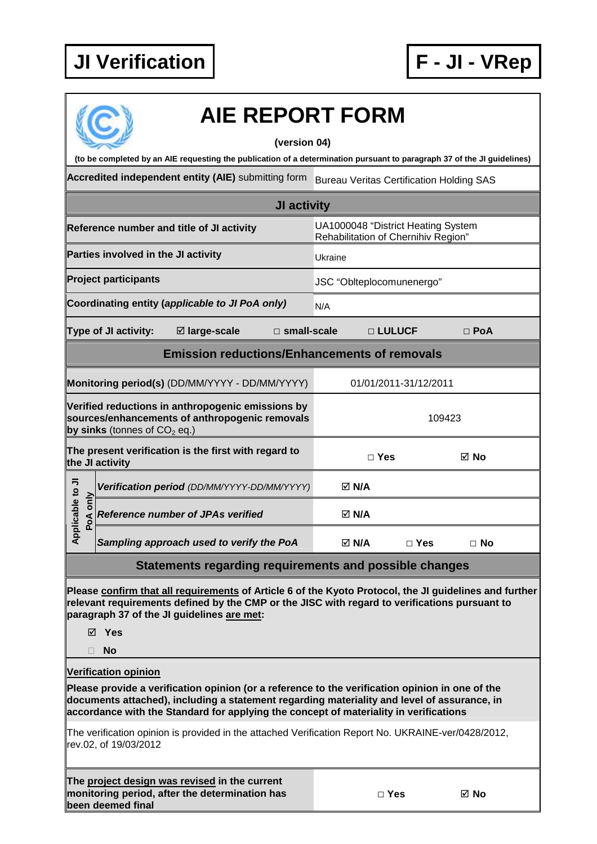

## **AIE REPORT FORM**

## **(version 04)**

**(to be completed by an AIE requesting the publication of a determination pursuant to paragraph 37 of the JI guidelines)** 

Accredited independent entity (AIE) submitting form Bureau Veritas Certification Holding SAS

|                                                                                                                                       | <b>JI activity</b>                                                                       |                                                                           |  |                           |            |           |  |
|---------------------------------------------------------------------------------------------------------------------------------------|------------------------------------------------------------------------------------------|---------------------------------------------------------------------------|--|---------------------------|------------|-----------|--|
| Reference number and title of JI activity                                                                                             |                                                                                          | UA1000048 "District Heating System<br>Rehabilitation of Chernihiv Region" |  |                           |            |           |  |
|                                                                                                                                       | Parties involved in the JI activity                                                      |                                                                           |  | Ukraine                   |            |           |  |
|                                                                                                                                       | <b>Project participants</b>                                                              |                                                                           |  | JSC "Oblteplocomunenergo" |            |           |  |
|                                                                                                                                       |                                                                                          | Coordinating entity (applicable to JI PoA only)                           |  | N/A                       |            |           |  |
|                                                                                                                                       | ⊠ large-scale<br>$\square$ small-scale<br>□ LULUCF<br>Type of JI activity:<br>$\Box$ PoA |                                                                           |  |                           |            |           |  |
|                                                                                                                                       |                                                                                          | <b>Emission reductions/Enhancements of removals</b>                       |  |                           |            |           |  |
|                                                                                                                                       | Monitoring period(s) (DD/MM/YYYY - DD/MM/YYYY)<br>01/01/2011-31/12/2011                  |                                                                           |  |                           |            |           |  |
| Verified reductions in anthropogenic emissions by<br>sources/enhancements of anthropogenic removals<br>by sinks (tonnes of $CO2$ eq.) |                                                                                          | 109423                                                                    |  |                           |            |           |  |
| The present verification is the first with regard to<br>the JI activity                                                               |                                                                                          |                                                                           |  | $\sqcap$ Yes              | ⊠ No       |           |  |
|                                                                                                                                       |                                                                                          | Verification period (DD/MM/YYYY-DD/MM/YYYY)                               |  | $\boxtimes$ N/A           |            |           |  |
| Applicable to JI<br>PoA only                                                                                                          |                                                                                          | <b>Reference number of JPAs verified</b>                                  |  | $\boxtimes$ N/A           |            |           |  |
|                                                                                                                                       |                                                                                          | Sampling approach used to verify the PoA                                  |  | $\boxtimes$ N/A           | $\Box$ Yes | $\Box$ No |  |

## **Statements regarding requirements and possible changes**

**Please confirm that all requirements of Article 6 of the Kyoto Protocol, the JI guidelines and further relevant requirements defined by the CMP or the JISC with regard to verifications pursuant to paragraph 37 of the JI guidelines are met:** 

**Yes** 

**No** 

**Verification opinion**

**Please provide a verification opinion (or a reference to the verification opinion in one of the documents attached), including a statement regarding materiality and level of assurance, in accordance with the Standard for applying the concept of materiality in verifications** 

The verification opinion is provided in the attached Verification Report No. UKRAINE-ver/0428/2012, rev.02, of 19/03/2012

**The project design was revised in the current monitoring period, after the determination has been deemed final**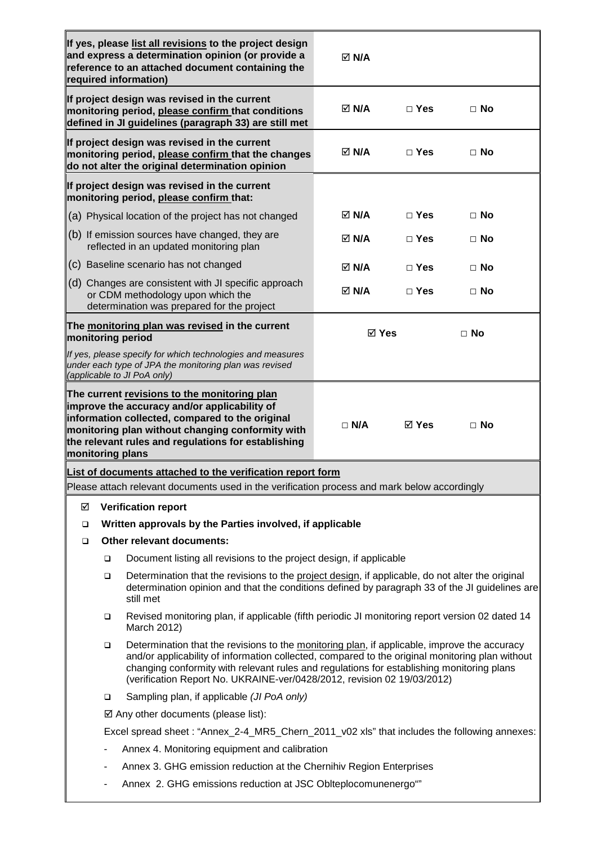| If yes, please list all revisions to the project design<br>and express a determination opinion (or provide a<br>reference to an attached document containing the<br>required information) |                                                                                                                                                                                                                                                                                                                                                                              |                                                                                                                                                       | $\boxtimes$ N/A |            |           |
|-------------------------------------------------------------------------------------------------------------------------------------------------------------------------------------------|------------------------------------------------------------------------------------------------------------------------------------------------------------------------------------------------------------------------------------------------------------------------------------------------------------------------------------------------------------------------------|-------------------------------------------------------------------------------------------------------------------------------------------------------|-----------------|------------|-----------|
| If project design was revised in the current<br>monitoring period, please confirm that conditions<br>defined in JI guidelines (paragraph 33) are still met                                |                                                                                                                                                                                                                                                                                                                                                                              |                                                                                                                                                       | <b>⊠ N/A</b>    | $\Box$ Yes | $\Box$ No |
|                                                                                                                                                                                           |                                                                                                                                                                                                                                                                                                                                                                              | If project design was revised in the current<br>monitoring period, please confirm that the changes<br>do not alter the original determination opinion | $\boxtimes$ N/A | $\Box$ Yes | $\Box$ No |
|                                                                                                                                                                                           |                                                                                                                                                                                                                                                                                                                                                                              | If project design was revised in the current<br>monitoring period, please confirm that:                                                               |                 |            |           |
|                                                                                                                                                                                           |                                                                                                                                                                                                                                                                                                                                                                              | (a) Physical location of the project has not changed                                                                                                  | <b>⊠ N/A</b>    | $\Box$ Yes | $\Box$ No |
|                                                                                                                                                                                           |                                                                                                                                                                                                                                                                                                                                                                              | $(b)$ If emission sources have changed, they are<br>reflected in an updated monitoring plan                                                           | $\boxtimes$ N/A | $\Box$ Yes | $\Box$ No |
|                                                                                                                                                                                           |                                                                                                                                                                                                                                                                                                                                                                              | (c) Baseline scenario has not changed                                                                                                                 | <b>⊠ N/A</b>    | $\Box$ Yes | $\Box$ No |
|                                                                                                                                                                                           |                                                                                                                                                                                                                                                                                                                                                                              | (d) Changes are consistent with JI specific approach<br>or CDM methodology upon which the<br>determination was prepared for the project               | ⊠ N/A           | $\Box$ Yes | $\Box$ No |
| The monitoring plan was revised in the current<br>monitoring period                                                                                                                       |                                                                                                                                                                                                                                                                                                                                                                              |                                                                                                                                                       | $\boxtimes$ Yes |            | $\Box$ No |
|                                                                                                                                                                                           |                                                                                                                                                                                                                                                                                                                                                                              | If yes, please specify for which technologies and measures<br>under each type of JPA the monitoring plan was revised<br>(applicable to JI PoA only)   |                 |            |           |
|                                                                                                                                                                                           | The current revisions to the monitoring plan<br>improve the accuracy and/or applicability of<br>information collected, compared to the original<br>$\Box$ N/A<br><b>⊠ Yes</b><br>$\sqcap$ No<br>monitoring plan without changing conformity with<br>the relevant rules and regulations for establishing<br>monitoring plans                                                  |                                                                                                                                                       |                 |            |           |
|                                                                                                                                                                                           |                                                                                                                                                                                                                                                                                                                                                                              | List of documents attached to the verification report form                                                                                            |                 |            |           |
|                                                                                                                                                                                           |                                                                                                                                                                                                                                                                                                                                                                              | Please attach relevant documents used in the verification process and mark below accordingly                                                          |                 |            |           |
| ☑                                                                                                                                                                                         |                                                                                                                                                                                                                                                                                                                                                                              | <b>Verification report</b>                                                                                                                            |                 |            |           |
| □                                                                                                                                                                                         |                                                                                                                                                                                                                                                                                                                                                                              | Written approvals by the Parties involved, if applicable                                                                                              |                 |            |           |
| ❏                                                                                                                                                                                         |                                                                                                                                                                                                                                                                                                                                                                              | Other relevant documents:                                                                                                                             |                 |            |           |
|                                                                                                                                                                                           | Document listing all revisions to the project design, if applicable<br>$\Box$<br>Determination that the revisions to the project design, if applicable, do not alter the original<br>$\Box$<br>determination opinion and that the conditions defined by paragraph 33 of the JI guidelines are<br>still met                                                                   |                                                                                                                                                       |                 |            |           |
|                                                                                                                                                                                           | Revised monitoring plan, if applicable (fifth periodic JI monitoring report version 02 dated 14<br>❏<br>March 2012)                                                                                                                                                                                                                                                          |                                                                                                                                                       |                 |            |           |
|                                                                                                                                                                                           | Determination that the revisions to the monitoring plan, if applicable, improve the accuracy<br>□<br>and/or applicability of information collected, compared to the original monitoring plan without<br>changing conformity with relevant rules and regulations for establishing monitoring plans<br>(verification Report No. UKRAINE-ver/0428/2012, revision 02 19/03/2012) |                                                                                                                                                       |                 |            |           |
|                                                                                                                                                                                           | Sampling plan, if applicable (JI PoA only)<br>□                                                                                                                                                                                                                                                                                                                              |                                                                                                                                                       |                 |            |           |
|                                                                                                                                                                                           | $\boxtimes$ Any other documents (please list):                                                                                                                                                                                                                                                                                                                               |                                                                                                                                                       |                 |            |           |
|                                                                                                                                                                                           | Excel spread sheet: "Annex_2-4_MR5_Chern_2011_v02 xls" that includes the following annexes:                                                                                                                                                                                                                                                                                  |                                                                                                                                                       |                 |            |           |
|                                                                                                                                                                                           | Annex 4. Monitoring equipment and calibration<br>۰                                                                                                                                                                                                                                                                                                                           |                                                                                                                                                       |                 |            |           |
|                                                                                                                                                                                           | Annex 3. GHG emission reduction at the Chernihiv Region Enterprises<br>-                                                                                                                                                                                                                                                                                                     |                                                                                                                                                       |                 |            |           |
|                                                                                                                                                                                           | Annex 2. GHG emissions reduction at JSC Oblteplocomunenergo"                                                                                                                                                                                                                                                                                                                 |                                                                                                                                                       |                 |            |           |